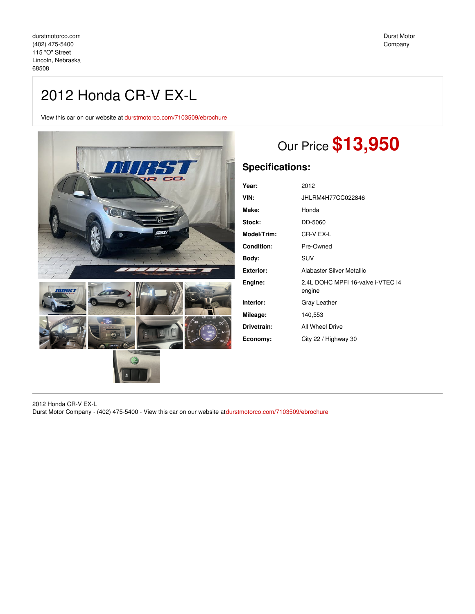## 2012 Honda CR-V EX-L

View this car on our website at [durstmotorco.com/7103509/ebrochure](https://durstmotorco.com/vehicle/7103509/2012-honda-cr-v-ex-l-lincoln-nebraska-68508/7103509/ebrochure)



# Our Price **\$13,950**

### **Specifications:**

| Year:              | 2012                                        |
|--------------------|---------------------------------------------|
| VIN:               | JHLRM4H77CC022846                           |
| Make:              | Honda                                       |
| Stock:             | DD-5060                                     |
| <b>Model/Trim:</b> | CR-V EX-L                                   |
| <b>Condition:</b>  | Pre-Owned                                   |
| Body:              | <b>SUV</b>                                  |
| Exterior:          | Alabaster Silver Metallic                   |
| Engine:            | 2.4L DOHC MPFI 16-valve i-VTEC 14<br>engine |
| Interior:          | Gray Leather                                |
| Mileage:           | 140,553                                     |
| Drivetrain:        | All Wheel Drive                             |
| Economy:           | City 22 / Highway 30                        |

2012 Honda CR-V EX-L Durst Motor Company - (402) 475-5400 - View this car on our website at[durstmotorco.com/7103509/ebrochure](https://durstmotorco.com/vehicle/7103509/2012-honda-cr-v-ex-l-lincoln-nebraska-68508/7103509/ebrochure)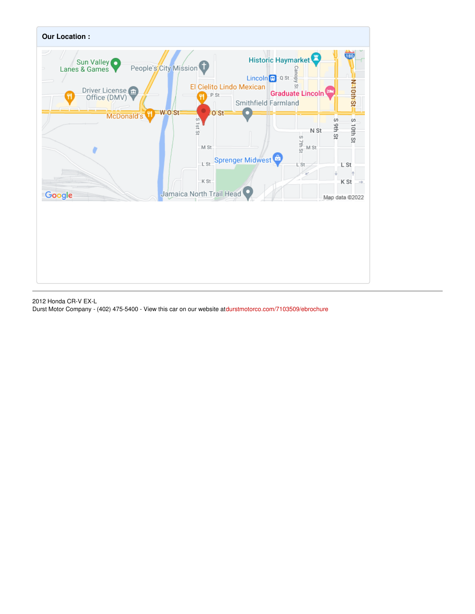

2012 Honda CR-V EX-L Durst Motor Company - (402) 475-5400 - View this car on our website at[durstmotorco.com/7103509/ebrochure](https://durstmotorco.com/vehicle/7103509/2012-honda-cr-v-ex-l-lincoln-nebraska-68508/7103509/ebrochure)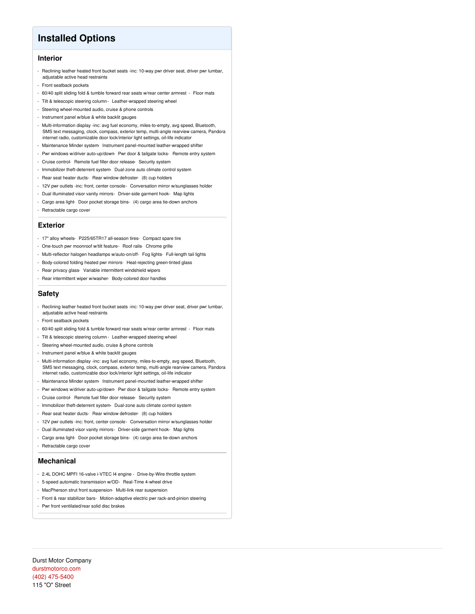### **Installed Options**

#### **Interior**

- Reclining leather heated front bucket seats -inc: 10-way pwr driver seat, driver pwr lumbar, adjustable active head restraints
- Front seatback pockets
- 60/40 split sliding fold & tumble forward rear seats w/rear center armrest Floor mats
- Tilt & telescopic steering column- Leather-wrapped steering wheel
- Steering wheel-mounted audio, cruise & phone controls
- Instrument panel w/blue & white backlit gauges
- Multi-information display -inc: avg fuel economy, miles-to-empty, avg speed, Bluetooth, SMS text messaging, clock, compass, exterior temp, multi-angle rearview camera, Pandora internet radio, customizable door lock/interior light settings, oil-life indicator
- Maintenance Minder system- Instrument panel-mounted leather-wrapped shifter
- Pwr windows w/driver auto-up/down- Pwr door & tailgate locks- Remote entry system
- Cruise control- Remote fuel filler door release- Security system
- Immobilizer theft-deterrent system- Dual-zone auto climate control system
- Rear seat heater ducts- Rear window defroster- (8) cup holders
- 12V pwr outlets -inc: front, center console- Conversation mirror w/sunglasses holder
- Dual illuminated visor vanity mirrors- Driver-side garment hook- Map lights
- Cargo area light- Door pocket storage bins- (4) cargo area tie-down anchors
- Retractable cargo cover

#### **Exterior**

- 17" alloy wheels- P225/65TR17 all-season tires- Compact spare tire
- One-touch pwr moonroof w/tilt feature- Roof rails- Chrome grille
- Multi-reflector halogen headlamps w/auto-on/off- Fog lights- Full-length tail lights
- Body-colored folding heated pwr mirrors- Heat-rejecting green-tinted glass
- Rear privacy glass- Variable intermittent windshield wipers
- Rear intermittent wiper w/washer- Body-colored door handles

#### **Safety**

- Reclining leather heated front bucket seats -inc: 10-way pwr driver seat, driver pwr lumbar, adjustable active head restraints
- Front seatback pockets
- 60/40 split sliding fold & tumble forward rear seats w/rear center armrest Floor mats
- Tilt & telescopic steering column- Leather-wrapped steering wheel
- Steering wheel-mounted audio, cruise & phone controls
- Instrument panel w/blue & white backlit gauges
- Multi-information display -inc: avg fuel economy, miles-to-empty, avg speed, Bluetooth, SMS text messaging, clock, compass, exterior temp, multi-angle rearview camera, Pandora internet radio, customizable door lock/interior light settings, oil-life indicator
- Maintenance Minder system- Instrument panel-mounted leather-wrapped shifter
- Pwr windows w/driver auto-up/down- Pwr door & tailgate locks- Remote entry system
- Cruise control- Remote fuel filler door release- Security system
- Immobilizer theft-deterrent system- Dual-zone auto climate control system
- Rear seat heater ducts- Rear window defroster- (8) cup holders
- 12V pwr outlets -inc: front, center console- Conversation mirror w/sunglasses holder
- Dual illuminated visor vanity mirrors- Driver-side garment hook- Map lights
- Cargo area light- Door pocket storage bins- (4) cargo area tie-down anchors
- Retractable cargo cover

#### **Mechanical**

- 2.4L DOHC MPFI 16-valve i-VTEC I4 engine Drive-by-Wire throttle system
- 5-speed automatic transmission w/OD- Real-Time 4-wheel drive
- MacPherson strut front suspension- Multi-link rear suspension
- Front & rear stabilizer bars- Motion-adaptive electric pwr rack-and-pinion steering
- Pwr front ventilated/rear solid disc brakes

Durst Motor Company [durstmotorco.com](file:////tmp/durstmotorco.com) (402) [475-5400](tel:(402) 475-5400) 115 "O" Street